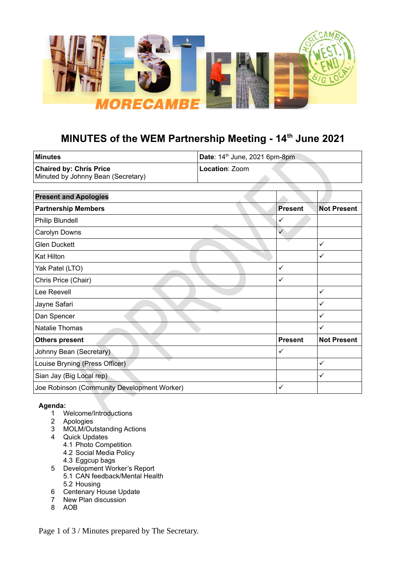

# **MINUTES of the WEM Partnership Meeting - 14th June 2021**

 $\Box$ 

| ∣Minutes                           | Date: $14th$ June, 2021 6pm-8pm |  |
|------------------------------------|---------------------------------|--|
| <b>Chaired by: Chris Price</b>     | l <b>Location</b> : Zoom        |  |
| Minuted by Johnny Bean (Secretary) |                                 |  |

| <b>Present and Apologies</b>                |                |                    |
|---------------------------------------------|----------------|--------------------|
| <b>Partnership Members</b>                  | <b>Present</b> | <b>Not Present</b> |
| Philip Blundell                             | ✓              |                    |
| Carolyn Downs                               | ✓              |                    |
| <b>Glen Duckett</b>                         |                | $\checkmark$       |
| Kat Hilton                                  |                | $\checkmark$       |
| Yak Patel (LTO)                             | ✓              |                    |
| Chris Price (Chair)                         | ✓              |                    |
| Lee Reevell                                 |                | ✓                  |
| Jayne Safari                                |                | ✓                  |
| Dan Spencer                                 |                | $\checkmark$       |
| Natalie Thomas                              |                | $\checkmark$       |
| <b>Others present</b>                       | <b>Present</b> | <b>Not Present</b> |
| Johnny Bean (Secretary)                     | ✓              |                    |
| Louise Bryning (Press Officer)              |                | $\checkmark$       |
| Sian Jay (Big Local rep)                    |                | $\checkmark$       |
| Joe Robinson (Community Development Worker) | ✓              |                    |

# **Agenda:**

- 1 Welcome/Introductions
- 2 Apologies
- 3 MOLM/Outstanding Actions
- 4 Quick Updates
	- 4.1 Photo Competition
	- 4.2 Social Media Policy
	- 4.3 Eggcup bags
- 5 Development Worker's Report 5.1 CAN feedback/Mental Health 5.2 Housing
- 6 Centenary House Update
- 7 New Plan discussion
- 8 AOB

Page 1 of 3 / Minutes prepared by The Secretary.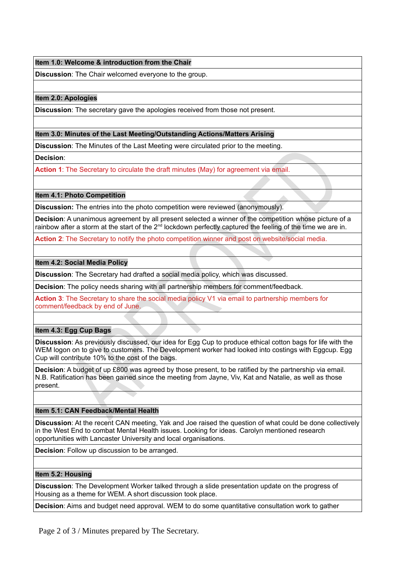# **Item 1.0: Welcome & introduction from the Chair**

**Discussion**: The Chair welcomed everyone to the group.

## **Item 2.0: Apologies**

**Discussion**: The secretary gave the apologies received from those not present.

## **Item 3.0: Minutes of the Last Meeting/Outstanding Actions/Matters Arising**

**Discussion**: The Minutes of the Last Meeting were circulated prior to the meeting.

**Decision**:

**Action 1**: The Secretary to circulate the draft minutes (May) for agreement via email.

# **Item 4.1: Photo Competition**

**Discussion:** The entries into the photo competition were reviewed (anonymously).

**Decision**: A unanimous agreement by all present selected a winner of the competition whose picture of a rainbow after a storm at the start of the  $2<sup>nd</sup>$  lockdown perfectly captured the feeling of the time we are in.

**Action 2**: The Secretary to notify the photo competition winner and post on website/social media.

## **Item 4.2: Social Media Policy**

**Discussion**: The Secretary had drafted a social media policy, which was discussed.

**Decision**: The policy needs sharing with all partnership members for comment/feedback.

**Action 3**: The Secretary to share the social media policy V1 via email to partnership members for comment/feedback by end of June.

# **Item 4.3: Egg Cup Bags**

**Discussion**: As previously discussed, our idea for Egg Cup to produce ethical cotton bags for life with the WEM logon on to give to customers. The Development worker had looked into costings with Eggcup. Egg Cup will contribute 10% to the cost of the bags.

**Decision**: A budget of up £800 was agreed by those present, to be ratified by the partnership via email. N.B. Ratification has been gained since the meeting from Jayne, Viv, Kat and Natalie, as well as those present.

# **Item 5.1: CAN Feedback/Mental Health**

**Discussion**: At the recent CAN meeting, Yak and Joe raised the question of what could be done collectively in the West End to combat Mental Health issues. Looking for ideas. Carolyn mentioned research opportunities with Lancaster University and local organisations.

**Decision**: Follow up discussion to be arranged.

### **Item 5.2: Housing**

**Discussion**: The Development Worker talked through a slide presentation update on the progress of Housing as a theme for WEM. A short discussion took place.

**Decision**: Aims and budget need approval. WEM to do some quantitative consultation work to gather

Page 2 of 3 / Minutes prepared by The Secretary.